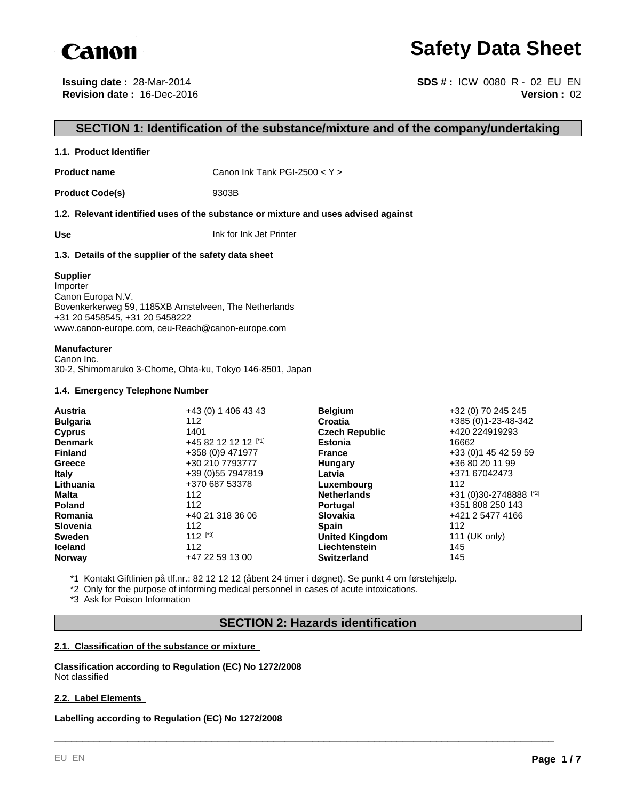

# **Safety Data Sheet**

**Issuing date :** 28-Mar-2014 **Revision date :** 16-Dec-2016

**Version :** 02 **SDS # :** ICW 0080 R - 02 EU EN

## **SECTION 1: Identification of the substance/mixture and of the company/undertaking**

#### **1.1. Product Identifier**

**Product name** Canon Ink Tank PGI-2500 < Y >

Product Code(s) 9303B

#### **1.2. Relevant identified uses of the substance or mixture and uses advised against**

**Use** Ink for Ink Jet Printer

#### **1.3. Details of the supplier of the safety data sheet**

#### **Supplier**

Importer Canon Europa N.V. Bovenkerkerweg 59, 1185XB Amstelveen, The Netherlands +31 20 5458545, +31 20 5458222 www.canon-europe.com, ceu-Reach@canon-europe.com

#### **Manufacturer**

Canon Inc. 30-2, Shimomaruko 3-Chome, Ohta-ku, Tokyo 146-8501, Japan

#### **1.4. Emergency Telephone Number**

| <b>Austria</b>  | +43 (0) 1 406 43 43 | <b>Belgium</b>        | +32 (0) 70 245 245     |
|-----------------|---------------------|-----------------------|------------------------|
| <b>Bulgaria</b> | 112                 | Croatia               | +385 (0)1-23-48-342    |
| <b>Cyprus</b>   | 1401                | <b>Czech Republic</b> | +420 224919293         |
| <b>Denmark</b>  | +45 82 12 12 12 [1] | <b>Estonia</b>        | 16662                  |
| <b>Finland</b>  | +358 (0)9 471977    | <b>France</b>         | +33 (0) 1 45 42 59 59  |
| Greece          | +30 210 7793777     | Hungary               | +36 80 20 11 99        |
| <b>Italy</b>    | +39 (0) 55 7947819  | Latvia                | +371 67042473          |
| Lithuania       | +370 687 53378      | Luxembourg            | 112                    |
| Malta           | 112                 | <b>Netherlands</b>    | +31 (0)30-2748888 [*2] |
| <b>Poland</b>   | 112                 | <b>Portugal</b>       | +351 808 250 143       |
| Romania         | +40 21 318 36 06    | <b>Slovakia</b>       | +421 2 5477 4166       |
| <b>Slovenia</b> | 112                 | <b>Spain</b>          | 112                    |
| <b>Sweden</b>   | $112$ [*3]          | <b>United Kingdom</b> | 111 (UK only)          |
| <b>Iceland</b>  | 112                 | Liechtenstein         | 145                    |
| <b>Norway</b>   | +47 22 59 13 00     | <b>Switzerland</b>    | 145                    |

\*1 Kontakt Giftlinien på tlf.nr.: 82 12 12 12 (åbent 24 timer i døgnet). Se punkt 4 om førstehjælp.

\*2 Only for the purpose of informing medical personnel in cases of acute intoxications.

\*3 Ask for Poison Information

## **SECTION 2: Hazards identification**

\_\_\_\_\_\_\_\_\_\_\_\_\_\_\_\_\_\_\_\_\_\_\_\_\_\_\_\_\_\_\_\_\_\_\_\_\_\_\_\_\_\_\_\_\_\_\_\_\_\_\_\_\_\_\_\_\_\_\_\_\_\_\_\_\_\_\_\_\_\_\_\_\_\_\_\_\_\_\_\_\_\_\_\_\_\_\_\_\_

#### **2.1. Classification of the substance or mixture**

**Classification according to Regulation (EC) No 1272/2008** Not classified

#### **2.2. Label Elements**

**Labelling according to Regulation (EC) No 1272/2008**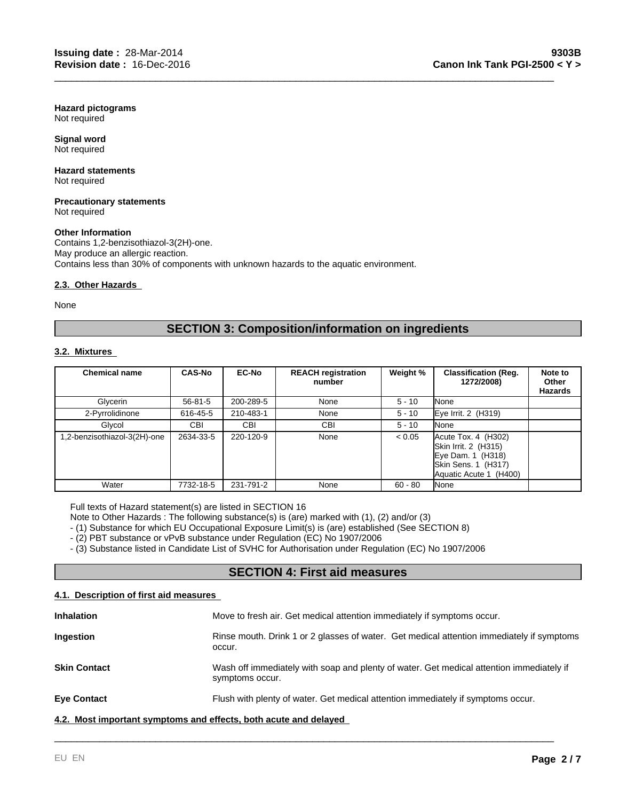**Hazard pictograms** Not required

**Signal word** Not required

#### **Hazard statements** Not required

**Precautionary statements** Not required

#### **Other Information**

Contains 1,2-benzisothiazol-3(2H)-one. May produce an allergic reaction. Contains less than 30% of components with unknown hazards to the aquatic environment.

#### **2.3. Other Hazards**

None

## **SECTION 3: Composition/information on ingredients**

\_\_\_\_\_\_\_\_\_\_\_\_\_\_\_\_\_\_\_\_\_\_\_\_\_\_\_\_\_\_\_\_\_\_\_\_\_\_\_\_\_\_\_\_\_\_\_\_\_\_\_\_\_\_\_\_\_\_\_\_\_\_\_\_\_\_\_\_\_\_\_\_\_\_\_\_\_\_\_\_\_\_\_\_\_\_\_\_\_

#### **3.2. Mixtures**

| <b>Chemical name</b>        | <b>CAS-No</b> | <b>EC-No</b> | <b>REACH registration</b><br>number | Weight %  | <b>Classification (Reg.</b><br>1272/2008)                                                                              | Note to<br><b>Other</b><br>Hazards |
|-----------------------------|---------------|--------------|-------------------------------------|-----------|------------------------------------------------------------------------------------------------------------------------|------------------------------------|
| Glycerin                    | $56 - 81 - 5$ | 200-289-5    | None                                | $5 - 10$  | None                                                                                                                   |                                    |
| 2-Pyrrolidinone             | 616-45-5      | 210-483-1    | None                                | $5 - 10$  | Eye Irrit. 2 (H319)                                                                                                    |                                    |
| Glvcol                      | CBI           | CBI          | <b>CBI</b>                          | $5 - 10$  | None                                                                                                                   |                                    |
| .2-benzisothiazol-3(2H)-one | 2634-33-5     | 220-120-9    | None                                | < 0.05    | $Accute$ Tox. 4 $(H302)$<br>Skin Irrit. 2 (H315)<br>Eye Dam. 1 (H318)<br>Skin Sens. 1 (H317)<br>Aquatic Acute 1 (H400) |                                    |
| Water                       | 7732-18-5     | 231-791-2    | None                                | $60 - 80$ | None                                                                                                                   |                                    |

Full texts of Hazard statement(s) are listed in SECTION 16

Note to Other Hazards : The following substance(s) is (are) marked with (1), (2) and/or (3)

- (1) Substance for which EU Occupational Exposure Limit(s) is (are) established (See SECTION 8)

- (2) PBT substance or vPvB substance under Regulation (EC) No 1907/2006

- (3) Substance listed in Candidate List of SVHC for Authorisation under Regulation (EC) No 1907/2006

## **SECTION 4: First aid measures**

#### **4.1. Description of first aid measures**

| <b>Inhalation</b>                                                | Move to fresh air. Get medical attention immediately if symptoms occur.                                     |
|------------------------------------------------------------------|-------------------------------------------------------------------------------------------------------------|
| Ingestion                                                        | Rinse mouth. Drink 1 or 2 glasses of water. Get medical attention immediately if symptoms<br>occur.         |
| <b>Skin Contact</b>                                              | Wash off immediately with soap and plenty of water. Get medical attention immediately if<br>symptoms occur. |
| <b>Eye Contact</b>                                               | Flush with plenty of water. Get medical attention immediately if symptoms occur.                            |
| 4.2. Most important symptoms and effects, both acute and delayed |                                                                                                             |

\_\_\_\_\_\_\_\_\_\_\_\_\_\_\_\_\_\_\_\_\_\_\_\_\_\_\_\_\_\_\_\_\_\_\_\_\_\_\_\_\_\_\_\_\_\_\_\_\_\_\_\_\_\_\_\_\_\_\_\_\_\_\_\_\_\_\_\_\_\_\_\_\_\_\_\_\_\_\_\_\_\_\_\_\_\_\_\_\_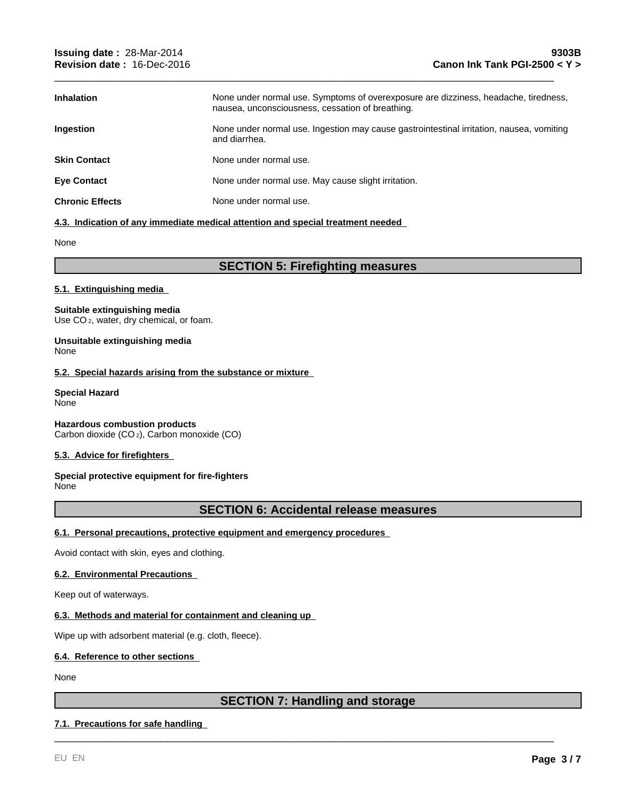| <b>Inhalation</b>      | None under normal use. Symptoms of overexposure are dizziness, headache, tiredness,<br>nausea, unconsciousness, cessation of breathing. |
|------------------------|-----------------------------------------------------------------------------------------------------------------------------------------|
| <b>Ingestion</b>       | None under normal use. Ingestion may cause gastrointestinal irritation, nausea, vomiting<br>and diarrhea.                               |
| <b>Skin Contact</b>    | None under normal use.                                                                                                                  |
| <b>Eve Contact</b>     | None under normal use. May cause slight irritation.                                                                                     |
| <b>Chronic Effects</b> | None under normal use.                                                                                                                  |

\_\_\_\_\_\_\_\_\_\_\_\_\_\_\_\_\_\_\_\_\_\_\_\_\_\_\_\_\_\_\_\_\_\_\_\_\_\_\_\_\_\_\_\_\_\_\_\_\_\_\_\_\_\_\_\_\_\_\_\_\_\_\_\_\_\_\_\_\_\_\_\_\_\_\_\_\_\_\_\_\_\_\_\_\_\_\_\_\_

#### **4.3. Indication of any immediate medical attention and special treatment needed**

None

## **SECTION 5: Firefighting measures**

#### **5.1. Extinguishing media**

#### **Suitable extinguishing media**

Use CO<sub>2</sub>, water, dry chemical, or foam.

#### **Unsuitable extinguishing media** None

#### **5.2. Special hazards arising from the substance or mixture**

#### **Special Hazard** None

**Hazardous combustion products** Carbon dioxide (CO 2), Carbon monoxide (CO)

#### **5.3. Advice for firefighters**

#### **Special protective equipment for fire-fighters** None

### **SECTION 6: Accidental release measures**

#### **6.1. Personal precautions, protective equipment and emergency procedures**

Avoid contact with skin, eyes and clothing.

#### **6.2. Environmental Precautions**

Keep out of waterways.

#### **6.3. Methods and material for containment and cleaning up**

Wipe up with adsorbent material (e.g. cloth, fleece).

#### **6.4. Reference to other sections**

None

## **SECTION 7: Handling and storage**

\_\_\_\_\_\_\_\_\_\_\_\_\_\_\_\_\_\_\_\_\_\_\_\_\_\_\_\_\_\_\_\_\_\_\_\_\_\_\_\_\_\_\_\_\_\_\_\_\_\_\_\_\_\_\_\_\_\_\_\_\_\_\_\_\_\_\_\_\_\_\_\_\_\_\_\_\_\_\_\_\_\_\_\_\_\_\_\_\_

### **7.1. Precautions for safe handling**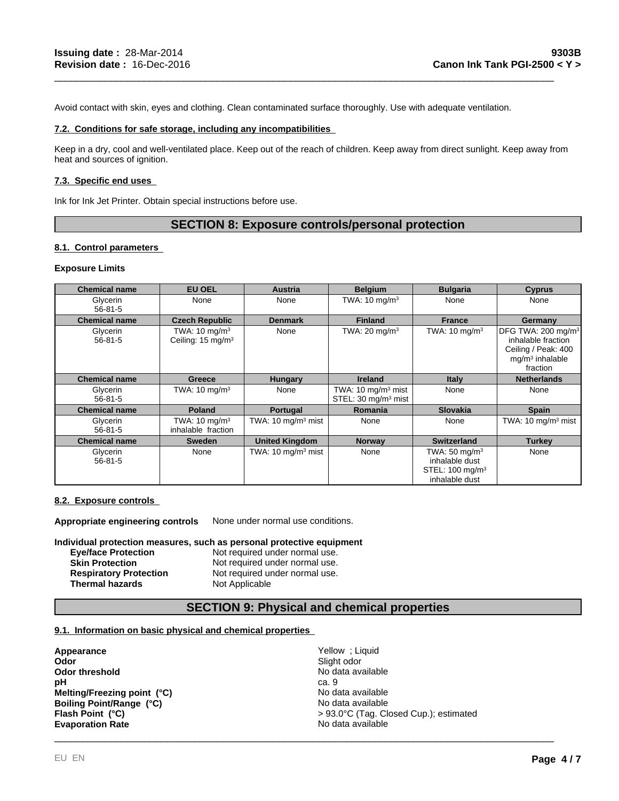Avoid contact with skin, eyes and clothing. Clean contaminated surface thoroughly. Use with adequate ventilation.

#### **7.2. Conditions for safe storage, including any incompatibilities**

Keep in a dry, cool and well-ventilated place. Keep out of the reach of children. Keep away from direct sunlight. Keep away from heat and sources of ignition.

\_\_\_\_\_\_\_\_\_\_\_\_\_\_\_\_\_\_\_\_\_\_\_\_\_\_\_\_\_\_\_\_\_\_\_\_\_\_\_\_\_\_\_\_\_\_\_\_\_\_\_\_\_\_\_\_\_\_\_\_\_\_\_\_\_\_\_\_\_\_\_\_\_\_\_\_\_\_\_\_\_\_\_\_\_\_\_\_\_

#### **7.3. Specific end uses**

Ink for Ink Jet Printer. Obtain special instructions before use.

## **SECTION 8: Exposure controls/personal protection**

#### **8.1. Control parameters**

#### **Exposure Limits**

| <b>Chemical name</b>      | <b>EU OEL</b>                                             | Austria                                  | <b>Belgium</b>                                                   | <b>Bulgaria</b>                                                                             | <b>Cyprus</b>                                                                                                |
|---------------------------|-----------------------------------------------------------|------------------------------------------|------------------------------------------------------------------|---------------------------------------------------------------------------------------------|--------------------------------------------------------------------------------------------------------------|
| Glycerin<br>$56 - 81 - 5$ | None                                                      | None                                     | TWA: $10 \text{ mg/m}^3$                                         | None                                                                                        | None                                                                                                         |
| <b>Chemical name</b>      | <b>Czech Republic</b>                                     | <b>Denmark</b>                           | <b>Finland</b>                                                   | <b>France</b>                                                                               | Germany                                                                                                      |
| Glycerin<br>$56 - 81 - 5$ | TWA: $10 \text{ mg/m}^3$<br>Ceiling: 15 mg/m <sup>3</sup> | None                                     | TWA: $20 \text{ mg/m}^3$                                         | TWA: $10 \text{ mg/m}^3$                                                                    | DFG TWA: 200 mg/m <sup>3</sup><br>inhalable fraction<br>Ceiling / Peak: 400<br>$mg/m3$ inhalable<br>fraction |
| <b>Chemical name</b>      | <b>Greece</b>                                             | Hungary                                  | <b>Ireland</b>                                                   | Italy                                                                                       | <b>Netherlands</b>                                                                                           |
| Glycerin<br>$56 - 81 - 5$ | TWA: $10 \text{ mg/m}^3$                                  | None                                     | TWA: $10 \text{ mg/m}^3$ mist<br>STEL: 30 mg/m <sup>3</sup> mist | None                                                                                        | None                                                                                                         |
| <b>Chemical name</b>      | <b>Poland</b>                                             | Portugal                                 | <b>Romania</b>                                                   | <b>Slovakia</b>                                                                             | <b>Spain</b>                                                                                                 |
| Glycerin<br>$56 - 81 - 5$ | TWA: $10 \text{ mg/m}^3$<br>inhalable fraction            | TWA: $10 \text{ mg/m}^3$ mist            | None                                                             | None                                                                                        | TWA: $10 \text{ mg/m}^3$ mist                                                                                |
| <b>Chemical name</b>      | <b>Sweden</b>                                             | <b>United Kingdom</b>                    | <b>Norway</b>                                                    | <b>Switzerland</b>                                                                          | <b>Turkey</b>                                                                                                |
| Glycerin<br>$56 - 81 - 5$ | None                                                      | TWA: $10 \text{ mg/m}$ <sup>3</sup> mist | None                                                             | TWA: $50 \text{ mg/m}^3$<br>inhalable dust<br>STEL: 100 mg/m <sup>3</sup><br>inhalable dust | None                                                                                                         |

#### **8.2. Exposure controls**

**Appropriate engineering controls** None under normal use conditions.

**Individual protection measures, such as personal protective equipment**

| <b>Eve/face Protection</b>    | Not required under normal use. |
|-------------------------------|--------------------------------|
| <b>Skin Protection</b>        | Not required under normal use. |
| <b>Respiratory Protection</b> | Not required under normal use. |
| <b>Thermal hazards</b>        | Not Applicable                 |

## **SECTION 9: Physical and chemical properties**

#### **9.1. Information on basic physical and chemical properties**

**Appearance Appearance Vellow** ; Liquid **Odor Yellow** ; Liquid **Odor Odor threshold**<br> **Odor threshold**<br> **nH**<br>
Ca 9 **pH** ca. 9 **Evaporation Rate** No data available **Flash Point (°C) Melting/Freezing point (°C) Boiling Point/Range (°C)**

**Odor** Slight odor \_\_\_\_\_\_\_\_\_\_\_\_\_\_\_\_\_\_\_\_\_\_\_\_\_\_\_\_\_\_\_\_\_\_\_\_\_\_\_\_\_\_\_\_\_\_\_\_\_\_\_\_\_\_\_\_\_\_\_\_\_\_\_\_\_\_\_\_\_\_\_\_\_\_\_\_\_\_\_\_\_\_\_\_\_\_\_\_\_ No data available > 93.0°C (Tag. Closed Cup.); estimated No data available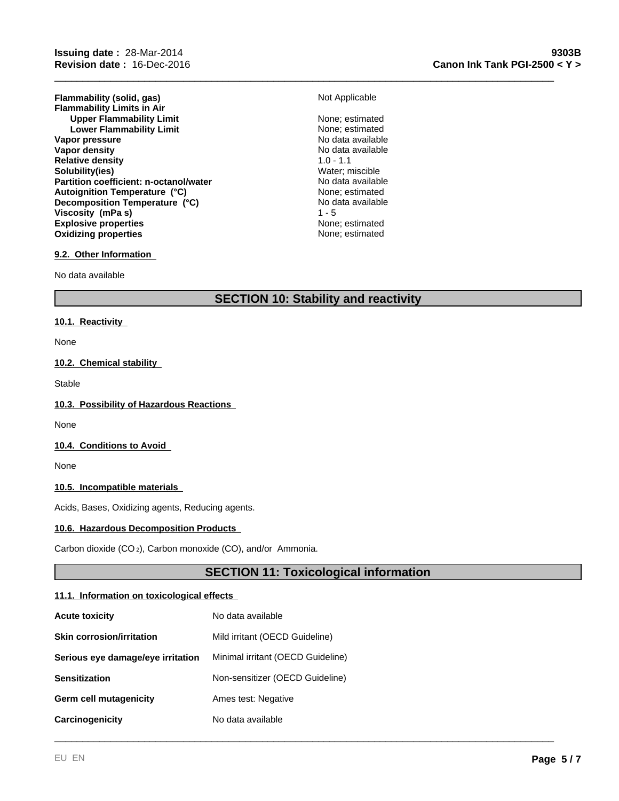**Flammability (solid, gas)** Not Applicable **Flammability Limits in Air Upper Flammability Limit** None; estimated<br>
Lower Flammability Limit<br>
None: estimated **Lower Flammability Limit** None; estimated<br>
None; estimated<br>
No data available **Vapor pressure**<br> **Vapor density**<br> **Vapor density**<br> **Vapor density Vapor density** No data<br> **Relative density** No data available 1.0 - 1.1 **Relative density Solubility(ies)** Water; miscible **Partition coefficient: n-octanol/water Explosive properties**<br> **Explosive properties**<br> **Oxidizing properties**<br> **None:** estimated **Oxidizing properties Autoignition Temperature (°C)** None; estimated **Decomposition Temperature (°C) Viscosity (mPa s)** 1 - 5

# \_\_\_\_\_\_\_\_\_\_\_\_\_\_\_\_\_\_\_\_\_\_\_\_\_\_\_\_\_\_\_\_\_\_\_\_\_\_\_\_\_\_\_\_\_\_\_\_\_\_\_\_\_\_\_\_\_\_\_\_\_\_\_\_\_\_\_\_\_\_\_\_\_\_\_\_\_\_\_\_\_\_\_\_\_\_\_\_\_

No data available

## **9.2. Other Information**

No data available

## **SECTION 10: Stability and reactivity**

#### **10.1. Reactivity**

None

#### **10.2. Chemical stability**

Stable

#### **10.3. Possibility of Hazardous Reactions**

None

#### **10.4. Conditions to Avoid**

None

#### **10.5. Incompatible materials**

Acids, Bases, Oxidizing agents, Reducing agents.

#### **10.6. Hazardous Decomposition Products**

Carbon dioxide (CO 2), Carbon monoxide (CO), and/or Ammonia.

## **SECTION 11: Toxicological information**

\_\_\_\_\_\_\_\_\_\_\_\_\_\_\_\_\_\_\_\_\_\_\_\_\_\_\_\_\_\_\_\_\_\_\_\_\_\_\_\_\_\_\_\_\_\_\_\_\_\_\_\_\_\_\_\_\_\_\_\_\_\_\_\_\_\_\_\_\_\_\_\_\_\_\_\_\_\_\_\_\_\_\_\_\_\_\_\_\_

#### **11.1. Information on toxicological effects**

| <b>Acute toxicity</b>             | No data available                 |
|-----------------------------------|-----------------------------------|
| <b>Skin corrosion/irritation</b>  | Mild irritant (OECD Guideline)    |
| Serious eye damage/eye irritation | Minimal irritant (OECD Guideline) |
| <b>Sensitization</b>              | Non-sensitizer (OECD Guideline)   |
| Germ cell mutagenicity            | Ames test: Negative               |
| Carcinogenicity                   | No data available                 |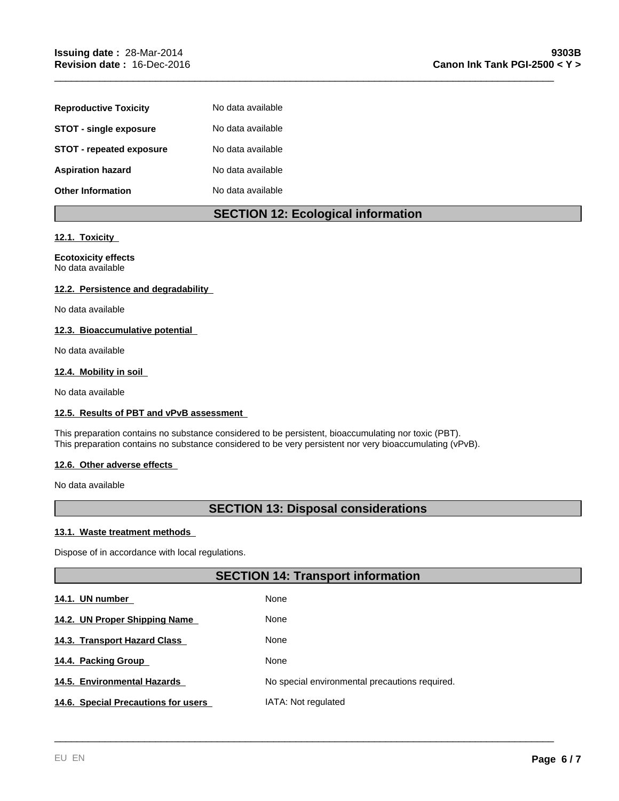| <b>Reproductive Toxicity</b>  | No data available |
|-------------------------------|-------------------|
| <b>STOT - single exposure</b> | No data available |
| STOT - repeated exposure      | No data available |
| <b>Aspiration hazard</b>      | No data available |
| <b>Other Information</b>      | No data available |

## **SECTION 12: Ecological information**

\_\_\_\_\_\_\_\_\_\_\_\_\_\_\_\_\_\_\_\_\_\_\_\_\_\_\_\_\_\_\_\_\_\_\_\_\_\_\_\_\_\_\_\_\_\_\_\_\_\_\_\_\_\_\_\_\_\_\_\_\_\_\_\_\_\_\_\_\_\_\_\_\_\_\_\_\_\_\_\_\_\_\_\_\_\_\_\_\_

#### **12.1. Toxicity**

#### **Ecotoxicity effects** No data available

#### **12.2. Persistence and degradability**

No data available

## **12.3. Bioaccumulative potential**

No data available

#### **12.4. Mobility in soil**

No data available

#### **12.5. Results of PBT and vPvB assessment**

This preparation contains no substance considered to be persistent, bioaccumulating nor toxic (PBT). This preparation contains no substance considered to be very persistent nor very bioaccumulating (vPvB).

#### **12.6. Other adverse effects**

No data available

## **SECTION 13: Disposal considerations**

#### **13.1. Waste treatment methods**

Dispose of in accordance with local regulations.

## **SECTION 14: Transport information**

\_\_\_\_\_\_\_\_\_\_\_\_\_\_\_\_\_\_\_\_\_\_\_\_\_\_\_\_\_\_\_\_\_\_\_\_\_\_\_\_\_\_\_\_\_\_\_\_\_\_\_\_\_\_\_\_\_\_\_\_\_\_\_\_\_\_\_\_\_\_\_\_\_\_\_\_\_\_\_\_\_\_\_\_\_\_\_\_\_

| 14.1. UN number                     | None                                           |
|-------------------------------------|------------------------------------------------|
| 14.2. UN Proper Shipping Name       | None                                           |
| 14.3. Transport Hazard Class        | None                                           |
| 14.4. Packing Group                 | None                                           |
| 14.5. Environmental Hazards         | No special environmental precautions required. |
| 14.6. Special Precautions for users | IATA: Not regulated                            |